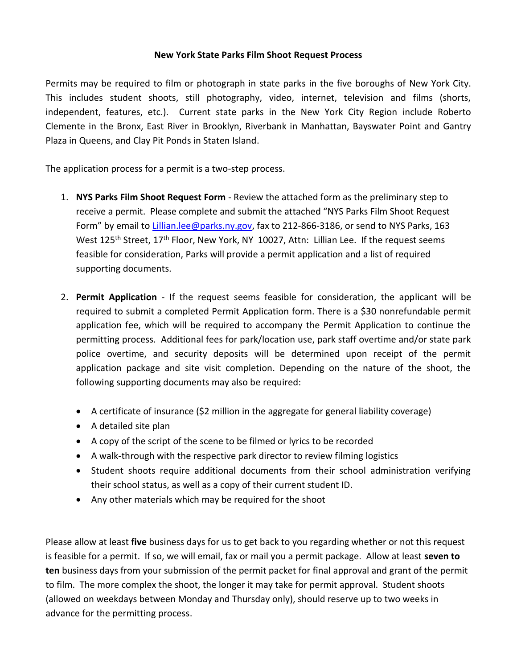## **New York State Parks Film Shoot Request Process**

Permits may be required to film or photograph in state parks in the five boroughs of New York City. This includes student shoots, still photography, video, internet, television and films (shorts, independent, features, etc.). Current state parks in the New York City Region include Roberto Clemente in the Bronx, East River in Brooklyn, Riverbank in Manhattan, Bayswater Point and Gantry Plaza in Queens, and Clay Pit Ponds in Staten Island.

The application process for a permit is a two-step process.

- 1. **NYS Parks Film Shoot Request Form** Review the attached form as the preliminary step to receive a permit. Please complete and submit the attached "NYS Parks Film Shoot Request Form" by email to [Lillian.lee@parks.ny.gov,](mailto:Lillian.lee@parks.ny.gov) fax to 212-866-3186, or send to NYS Parks, 163 West 125<sup>th</sup> Street, 17<sup>th</sup> Floor, New York, NY 10027, Attn: Lillian Lee. If the request seems feasible for consideration, Parks will provide a permit application and a list of required supporting documents.
- 2. **Permit Application** If the request seems feasible for consideration, the applicant will be required to submit a completed Permit Application form. There is a \$30 nonrefundable permit application fee, which will be required to accompany the Permit Application to continue the permitting process. Additional fees for park/location use, park staff overtime and/or state park police overtime, and security deposits will be determined upon receipt of the permit application package and site visit completion. Depending on the nature of the shoot, the following supporting documents may also be required:
	- A certificate of insurance (\$2 million in the aggregate for general liability coverage)
	- A detailed site plan
	- A copy of the script of the scene to be filmed or lyrics to be recorded
	- A walk-through with the respective park director to review filming logistics
	- Student shoots require additional documents from their school administration verifying their school status, as well as a copy of their current student ID.
	- Any other materials which may be required for the shoot

Please allow at least **five** business days for us to get back to you regarding whether or not this request is feasible for a permit. If so, we will email, fax or mail you a permit package. Allow at least **seven to ten** business days from your submission of the permit packet for final approval and grant of the permit to film. The more complex the shoot, the longer it may take for permit approval. Student shoots (allowed on weekdays between Monday and Thursday only), should reserve up to two weeks in advance for the permitting process.